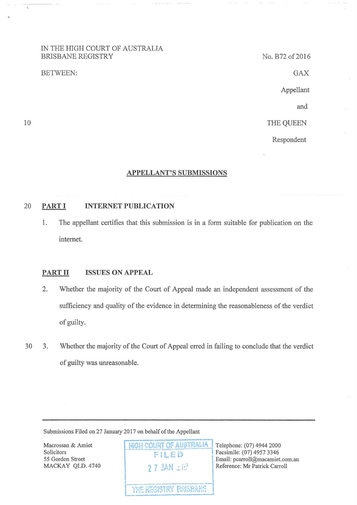## IN THE HIGH COURT OF AUSTRALIA BRISBANE REGISTRY

#### BETWEEN:

No. B72 of 2016

GAX

Appellant

and

THE QUEEN

Respondent

## **APPELLANT'S SUBMISSIONS**

## 20 **PARTI INTERNET PUBLICATION**

1. The appellant certifies that this submission is in a form suitable for publication on the intemet.

## **PARTII ISSUES ON APPEAL**

- 2. Whether the majority of the Court of Appeal made an independent assessment of the sufficiency and quality of the evidence in determining the reasonableness of the verdict of guilty.
- 30 3. Whether the majority of the Court of Appeal erred in failing to conclude that the verdict of guilty was unreasonable.

Submissions Filed on 27 January 2017 on behalf of the Appellant

Macrossan & Amiet Solicitors 55 Gordon Street MACKAY QLD. 4740 **HIGH COURT OF AUSTRALIA Telephone: (07) 4944 2000** FILED . ·· ,,~ ..... , 1\"T~" E'l!"fp:,';.l•d· **I** t~:~ **l"\!":'" .,..\_ I\ 1 H t ,:f.** ~t:

Facsimile: (07) 4957 3346 Email: pcarroll@macamiet.com.au<br>
2.7. JAN : 11. Reference: Mr Patrick Carroll Reference: Mr Patrick Carroll

10

 $\mathcal{L}$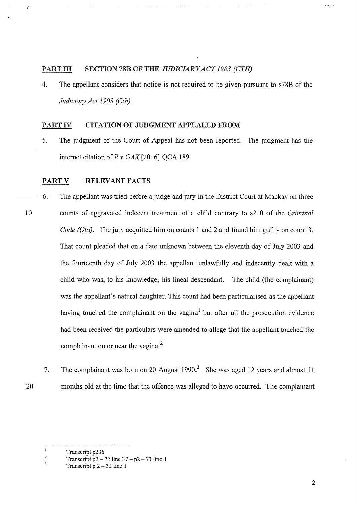## PART HI SECTION 78B OF THE *JUDICIARY ACT 1903 (CTH)*

4. The appellant considers that notice is not required to be given pursuant to s78B of the *Judiciary Act 1903 (Cth).* 

## PART IV **CITATION OF JUDGMENT** APPEALED FROM

5. The judgment of the Court of Appeal has not been reported. The judgment has the intemet citation of *R v* GAX[2016] QCA 189.

## **PART V RELEVANT FACTS**

- 6. The appellant was tried before a judge and jury in the District Court at Mackay on three 10 counts of aggravated indecent treatment of a child contrary to s210 of the *Criminal Code (Old)*. The jury acquitted him on counts 1 and 2 and found him guilty on count 3. That count pleaded that on a date unknown between the eleventh day of July 2003 and the fourteenth day of July 2003 the appellant unlawfully and indecently dealt with a child who was, to his knowledge, his lineal descendant. The child (the complainant) was the appellant's natural daughter. This count had been particularised as the appellant having touched the complainant on the vagina<sup>1</sup> but after all the prosecution evidence had been received the particulars were amended to allege that the appellant touched the complainant on or near the vagina.<sup>2</sup>
	- 7. The complainant was born on 20 August 1990.<sup>3</sup> She was aged 12 years and almost 11 months old at the time that the offence was alleged to have occurred. The complainant

 $\mathbf{1}$ Transcript p236

20

 $\vec{C}$ 

<sup>2</sup>  Transcript  $p2 - 72$  line  $37 - p2 - 73$  line 1

 $\overline{\mathbf{3}}$ Transcript  $p$  2 - 32 line 1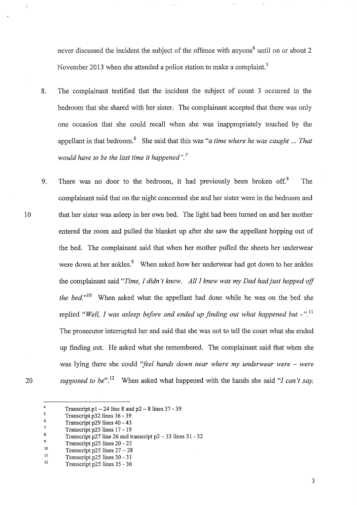never discussed the incident the subject of the offence with anyone<sup>4</sup> until on or about 2 November 2013 when she attended a police station to make a complaint.<sup>5</sup>

 $\hat{\mathcal{L}}_{\text{max}}$ 

- 8. The complainant testified that the incident the subject of count 3 occurred in the bedroom that she shared with her sister. The complainant accepted that there was only one occasion that she could recall when she was inappropriately touched by the appellant in that bedroom.6 She said that this was *"a time where he was caught ... That would have to be the last time it happened".* <sup>7</sup>
- 9. There was no door to the bedroom, it had previously been broken off. $8$  The complainant said that on the night concerned she and her sister were in the bedroom and 10 that her sister was asleep in her own bed. The light had been turned on and her mother entered the room and pulled the blanket up after she saw the appellant hopping out of the bed. The complainant said that when her mother pulled the sheets her underwear were down at her ankles.<sup>9</sup> When asked how her underwear had got down to her ankles the complainant said *"Time, I didn't know. All I knew was my Dad had just hopped off the bed.*<sup>"10</sup> When asked what the appellant had done while he was on the bed she replied "Well, I was asleep before and ended up finding out what happened but -".<sup>11</sup> The prosecutor interrupted her and said that she was not to tell the court what she ended up finding out. He asked what she remembered. The complainant said that when she was lying there she could "feel hands down near where my underwear were – were *supposed to be".* 12 When asked what happened with the hands she said *"I can't say.*
- 20

 $\ddot{i}$ 

<sup>4</sup>  Transcript p $1 - 24$  line 8 and p $2 - 8$  lines 37 - 39

 $\mathbf{S}$ Transcript p32lines 36- 39

<sup>6</sup>  Transcript p29 lines 40-43

<sup>7</sup>  Transcript p25 lines 17 - 19

<sup>8</sup>  Transcript p27 line 26 and transcript  $p2 - 33$  lines  $31 - 32$ 

<sup>9</sup>  Transcript p25 lines 20 - 25

<sup>10</sup>  Transcript p25 lines  $27 - 28$ 

ll Transcript p25 lines 30 - 31

<sup>12</sup>  Transcript p25 lines 35- 36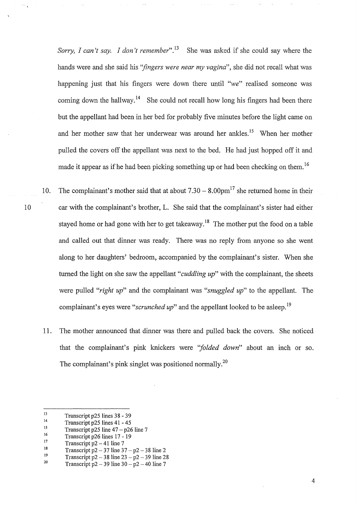*Sorry, I can't say. I don't remember*".<sup>13</sup> She was asked if she could say where the hands were and she said his *''fingers were near my vagina",* she did not recall what was happening just that his fingers were down there until *"we"* realised someone was coming down the hallway.<sup>14</sup> She could not recall how long his fingers had been there but the appellant had been in her bed for probably five minutes before the light came on and her mother saw that her underwear was around her ankles.<sup>15</sup> When her mother pulled the covers off the appellant was next to the bed. He had just hopped off it and made it appear as if he had been picking something up or had been checking on them.<sup>16</sup>

- 10. The complainant's mother said that at about  $7.30 8.00 \text{pm}^{17}$  she returned home in their 10 car with the complainant's brother, L. She said that the complainant's sister had either stayed home or had gone with her to get takeaway.<sup>18</sup> The mother put the food on a table and called out that dinner was ready. There was no reply from anyone so she went along to her daughters' bedroom, accompanied by the complainant's sister. When she turned the light on she saw the appellant *"cuddling up"* with the complainant, the sheets were pulled *"right up"* and the complainant was *"snuggled up"* to the appellant. The complainant's eyes were "*scrunched up*" and the appellant looked to be asleep.<sup>19</sup>
	- 11. The mother announced that dinner was there and pulled back the covers. She noticed that the complainant's pink knickers were *''folded down"* about an inch or so. The complainant's pink singlet was positioned normally.<sup>20</sup>

<sup>13</sup>  Transcript p25 lines 38 - 39

<sup>14</sup>  Transcript p25 lines 41 - 45

<sup>15</sup>  Transcript p25 line  $47 - p26$  line 7

<sup>16</sup>  Transcript p26 lines 17- 19

<sup>17</sup>  Transcript  $p2 - 41$  line 7

<sup>18</sup>  Transcript  $p2 - 37$  line  $37 - p2 - 38$  line 2

<sup>19</sup>  Transcript  $p2 - 38$  line  $23 - p2 - 39$  line 28

<sup>20</sup>  Transcript  $p2 - 39$  line  $30 - p2 - 40$  line 7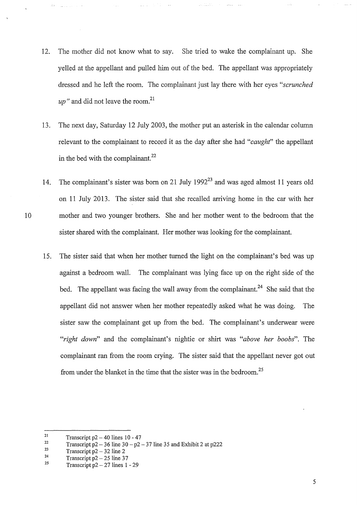12. The mother did not know what to say. She tried to wake the complainant up. She yelled at the appellant and pulled him out of the bed. The appellant was appropriately dressed and he left the room. The complainant just lay there with her eyes *"scrunched*   $up''$  and did not leave the room.<sup>21</sup>

 $\mathcal{L}_{\text{c}}$  ,  $\mathcal{L}_{\text{c}}$  ,  $\mathcal{L}_{\text{c}}$ 

- 13. The next day, Saturday 12 July 2003, the mother put an asterisk in the calendar column relevant to the complainant to record it as the day after she had *"caught''* the appellant in the bed with the complainant. $^{22}$
- 14. The complainant's sister was born on 21 July 1992 $^{23}$  and was aged almost 11 years old on 11 July 2013. The sister said that she recalled arriving home in the car with her 10 mother and two younger brothers. She and her mother went to the bedroom that the sister shared with the complainant. Her mother was looking for the complainant.
	- 15. The sister said that when her mother turned the light on the complainant's bed was up against a bedroom wall. The complainant was lying face up on the right side of the bed. The appellant was facing the wall away from the complainant.<sup>24</sup> She said that the appellant did not answer when her mother repeatedly asked what he was doing. The sister saw the complainant get up from the bed. The complainant's underwear were *"right down"* and the complainant's nightie or shirt was *"above her boobs".* The complainant ran from the room crying. The sister said that the appellant never got out from under the blanket in the time that the sister was in the bedroom.<sup>25</sup>

<sup>21</sup>  Transcript  $p2 - 40$  lines  $10 - 47$ 

<sup>22</sup>  Transcript  $p2 - 36$  line  $30 - p2 - 37$  line 35 and Exhibit 2 at p222

<sup>23</sup>  Transcript  $p2 - 32$  line 2

<sup>24</sup>  Transcript  $p2 - 25$  line 37

*<sup>25</sup>*  Transcript  $p2 - 27$  lines 1 - 29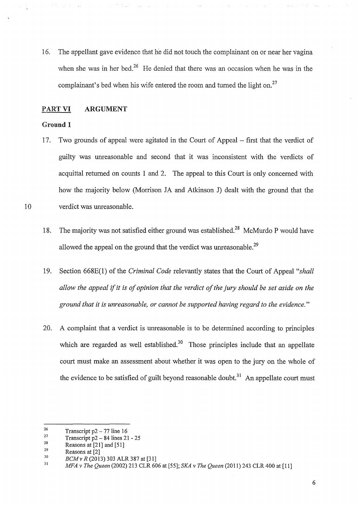16. The appellant gave evidence that ne did not touch the complainant on or near her vagina when she was in her bed.<sup>26</sup> He denied that there was an occasion when he was in the complainant's bed when his wife entered the room and turned the light on.<sup>27</sup>

### PART VI ARGUMENT

#### Ground 1

- 17. Two grounds of appeal were agitated in the Court of Appeal first that the verdict of guilty was unreasonable and second that it was inconsistent with the verdicts of acquittal returned on counts 1 and 2. The appeal to this Court is only concerned with how the majority below (Morrison JA and Atkinson J) dealt with the ground that the 10 verdict was unreasonable.
	- 18. The majority was not satisfied either ground was established.<sup>28</sup> McMurdo P would have allowed the appeal on the ground that the verdict was unreasonable.<sup>29</sup>
	- 19. Section 668E(l) of the *Criminal Code* relevantly states that the Court of Appeal *"shall allow the appeal* if it *is of opinion that the verdict of the jury should be set aside on the ground that it is unreasonable, or cannot be supported having regard to the evidence."*
	- 20. A complaint that a verdict is unreasonable is to be determined according to principles which are regarded as well established.<sup>30</sup> Those principles include that an appellate court must make an assessment about whether it was open to the jury on the whole of the evidence to be satisfied of guilt beyond reasonable doubt.<sup>31</sup> An appellate court must

<sup>26</sup>  Transcript  $p2 - 77$  line 16

<sup>27</sup>  Transcript  $p2 - 84$  lines  $21 - 25$ 

<sup>28</sup>  29 Reasons at [21] and [51]

Reasons at [2]

<sup>30</sup>  *BCM v R* (2013) 303 ALR 387 at [31]

<sup>31</sup>  *MFA v The Queen* (2002) 213 CLR 606 at [55]; *SKA v The Queen* (2011) 243 CLR 400 at [11]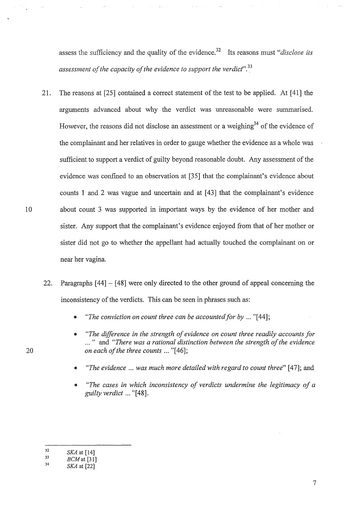assess the sufficiency and the quality of the evidence.32 Its reasons must *"disclose its assessment of the capacity of the evidence to support the verdicf'.33* 

- 21. The reasons at [25] contained a correct statement of the test to be applied. At [ 41] the arguments advanced about why the verdict was unreasonable were summarised. However, the reasons did not disclose an assessment or a weighing<sup>34</sup> of the evidence of the complainant and her relatives in order to gauge whether the evidence as a whole was sufficient to support a verdict of guilty beyond reasonable doubt. Any assessment of the evidence was confined to an observation at [35] that the complainant's evidence about counts 1 and 2 was vague and uncertain and at [43] that the complainant's evidence 10 about count 3 was supported in important ways by the evidence of her mother and sister. Any support that the complainant's evidence enjoyed from that of her mother or sister did not go to whether the appellant had actually touched the complainant on or near her vagina.
	- 22. Paragraphs [44]- [48] were only directed to the other ground of appeal concerning the inconsistency of the verdicts. This can be seen in phrases such as:
		- *"The conviction on count three can be accounted for by ...* "[44];
		- *"The difference in the strength of evidence on count three readily accounts for*  ... " and *"There was a rational distinction between the strength of the evidence on each ofthe three counts ...* "[46];
		- *"The evidence* ... *was much more detailed with regard to count three"* [47]; and
		- *"The cases in which inconsistency of verdicts undermine the legitimacy of a guilty verdict* ... "[48].

<sup>32</sup>  *SKA* at [14]

<sup>33</sup>  *BCMat* [31]

<sup>34</sup>  *SKA* at [22]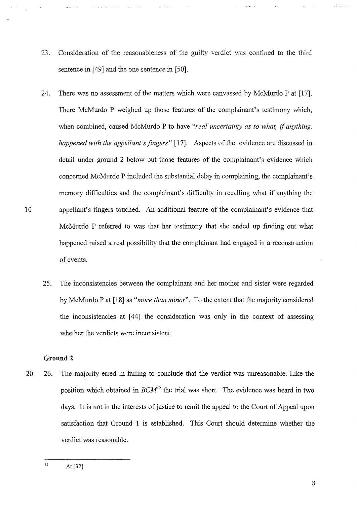- 23. Consideration of the reasonableness of the guilty verdict was confined to the third sentence in [49] and the one sentence in [50].
- 24. There was no assessment of the matters which were canvassed by McMurdo P at [17]. There McMurdo P weighed up those features of the complainant's testimony which, when combined, caused McMurdo P to have *"real uncertainty as to what,* if *anything, happened with the appellant's fingers*" [17]. Aspects of the evidence are discussed in detail under ground 2 below but those features of the complainant's evidence which concerned McMurdo P included the substantial delay in complaining, the complainant's memory difficulties and the complainant's difficulty in recalling what if anything the 10 appellant's fingers touched. An additional feature of the complainant's evidence that McMurdo P referred to was that her testimony that she ended up finding out what happened raised a real possibility that the complainant had engaged in a reconstruction of events.
	- 25. The inconsistencies between the complainant and her mother and sister were regarded by McMurdo Pat [18] as *"more than minor".* To the extent that the majority considered the inconsistencies at [44] the consideration was only in the context of assessing whether the verdicts were inconsistent.

## **Ground2**

20 26. The majority erred in failing to conclude that the verdict was unreasonable. Like the position which obtained in *BCM35* the trial was short. The evidence was heard in two days. It is not in the interests of justice to remit the appeal to the Court of Appeal upon satisfaction that Ground 1 is established. This Court should determine whether the verdict was reasonable.

35 At [32]

8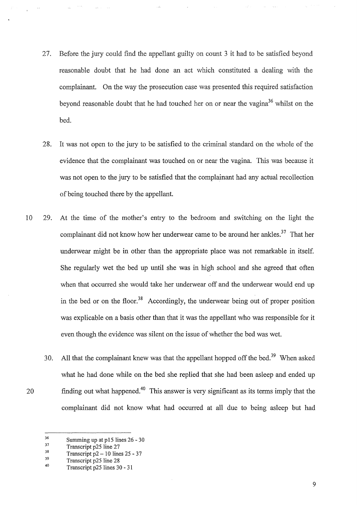- 27. Before the jury could find the appellant guilty on count 3 it had to be satisfied beyond reasonable doubt that he had done an act which constituted a dealing with the complainant. On the way the prosecution case was presented this required satisfaction beyond reasonable doubt that he had touched her on or near the vagina<sup>36</sup> whilst on the bed.
- 28. It was not open to the jury to be satisfied to the criminal standard on the whole of the evidence that the complainant was touched on or near the vagina. This was because it was not open to the jury to be satisfied that the complainant had any actual recollection of being touched there by the appellant.
- 10 29. At the time of the mother's entry to the bedroom and switching on the light the complainant did not know how her underwear came to be around her ankles.<sup>37</sup> That her underwear might be in other than the appropriate place was not remarkable in itself. She regularly wet the bed up until she was in high school and she agreed that often when that occurred she would take her underwear off and the underwear would end up in the bed or on the floor.<sup>38</sup> Accordingly, the underwear being out of proper position was explicable on a basis other than that it was the appellant who was responsible for it even though the evidence was silent on the issue of whether the bed was wet.
- 30. All that the complainant knew was that the appellant hopped off the bed.<sup>39</sup> When asked what he had done while on the bed she replied that she had been asleep and ended up 20 finding out what happened.<sup>40</sup> This answer is very significant as its terms imply that the complainant did not know what had occurred at all due to being asleep but had

9

<sup>36</sup>  Summing up at p15 lines 26- 30

<sup>37</sup>  Transcript p25 line 27

<sup>38</sup>  Transcript  $p2 - 10$  lines  $25 - 37$ 

<sup>39</sup>  40 Transcript p25 line 28

Transcript p25 lines 30 - 31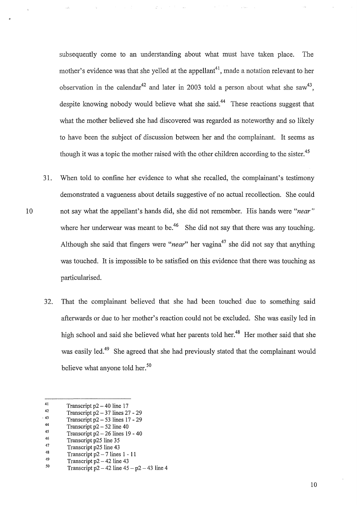subsequently come to an understanding about what must have taken place. The mother's evidence was that she yelled at the appellant<sup>41</sup>, made a notation relevant to her observation in the calendar<sup>42</sup> and later in 2003 told a person about what she saw<sup>43</sup>, despite knowing nobody would believe what she said.<sup>44</sup> These reactions suggest that what the mother believed she had discovered was regarded as noteworthy and so likely to have been the subject of discussion between her and the complainant. It seems as though it was a topic the mother raised with the other children according to the sister.<sup>45</sup>

- 31. When told to confine her evidence to what she recalled, the complainant's testimony demonstrated a vagueness about details suggestive of no actual recollection. She could 10 not say what the appellant's hands did, she did not remember. His hands were *"near"*  where her underwear was meant to be.<sup>46</sup> She did not say that there was any touching. Although she said that fingers were *"near*" her vagina<sup>47</sup> she did not say that anything was touched. It is impossible to be satisfied on this evidence that there was touching as particularised.
	- 3 2. That the complainant believed that she had been touched due to something said afterwards or due to her mother's reaction could not be excluded. She was easily led in high school and said she believed what her parents told her.<sup>48</sup> Her mother said that she was easily led.<sup>49</sup> She agreed that she had previously stated that the complainant would believe what anyone told her.<sup>50</sup>

- 46 47 Transcript p25 line 35
- 48 Transcript p25 line 43
- 49 Transcript p2 - 7 lines I - 11

<sup>41</sup>  Transcript  $p2 - 40$  line 17

<sup>42</sup>  . 43 Transcript  $p2 - 37$  lines  $27 - 29$ 

Transcript  $p2 - 53$  lines  $17 - 29$ 

<sup>44</sup>  Transcript  $p2 - 52$  line 40

<sup>45</sup>  Transcript  $p2 - 26$  lines  $19 - 40$ 

Transcript p2- 42 line 43

*<sup>50</sup>*  Transcript  $p2 - 42$  line  $45 - p2 - 43$  line 4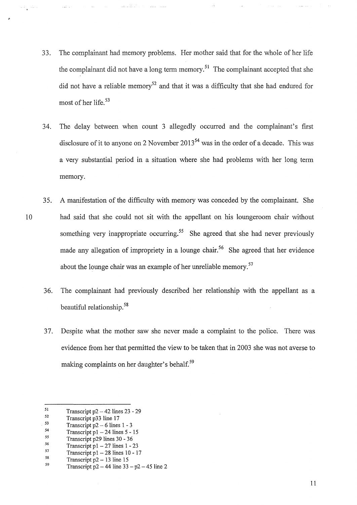33. The complainant had memory problems. Her mother said that for the whole of her life the complainant did not have a long term memory.<sup>51</sup> The complainant accepted that she did not have a reliable memory<sup>52</sup> and that it was a difficulty that she had endured for most of her life.<sup>53</sup>

الماموري المولي

- 34. The delay between when count 3 allegedly occurred and the complainant's first disclosure of it to anyone on 2 November  $2013^{54}$  was in the order of a decade. This was a very substantial period in a situation where she had problems with her long term memory.
- 35. A manifestation of the difficulty with memory was conceded by the complainant. She 10 had said that she could not sit with the appellant on his loungeroom chair without something very inappropriate occurring.<sup>55</sup> She agreed that she had never previously made any allegation of impropriety in a lounge chair.<sup>56</sup> She agreed that her evidence about the lounge chair was an example of her unreliable memory.<sup>57</sup>
	- 36. The complainant had previously described her relationship with the appellant as a beautiful relationship. 58
	- 37. Despite what the mother saw she never made a complaint to the police. There was evidence from her that permitted the view to be taken that in 2003 she was not averse to making complaints on her daughter's behalf.<sup>59</sup>

58 Transcript  $p2 - 13$  line 15

11

<sup>51</sup>  Transcript  $p2 - 42$  lines  $23 - 29$ 

<sup>52</sup>  Transcript p33 line 17

<sup>53</sup>  Transcript  $p2 - 6$  lines  $1 - 3$ 

<sup>54</sup>  Transcript  $p1 - 24$  lines  $5 - 15$ 

<sup>55</sup>  Transcript p29 lines 30 - 36

<sup>56</sup>  Transcript  $p1 - 27$  lines  $1 - 23$ 

<sup>57</sup>  Transcript p $1 - 28$  lines  $10 - 17$ 

<sup>59</sup>  Transcript  $p2 - 44$  line  $33 - p2 - 45$  line 2